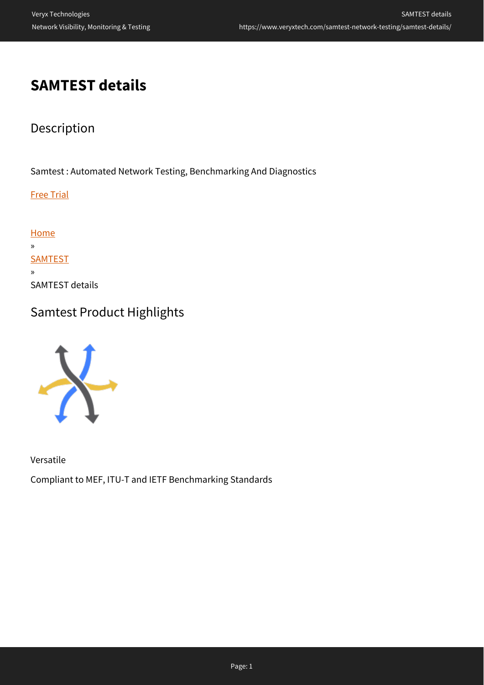## **SAMTEST details**

## Description

Samtest : Automated Network Testing, Benchmarking And Diagnostics

Free Trial

**[Home](https://www.veryxtech.com)** » **[SAMTEST](https://www.veryxtech.com/samtest-network-testing/)** » SAMTEST details

### Samtest Product Highlights



Versatile

Compliant to MEF, ITU-T and IETF Benchmarking Standards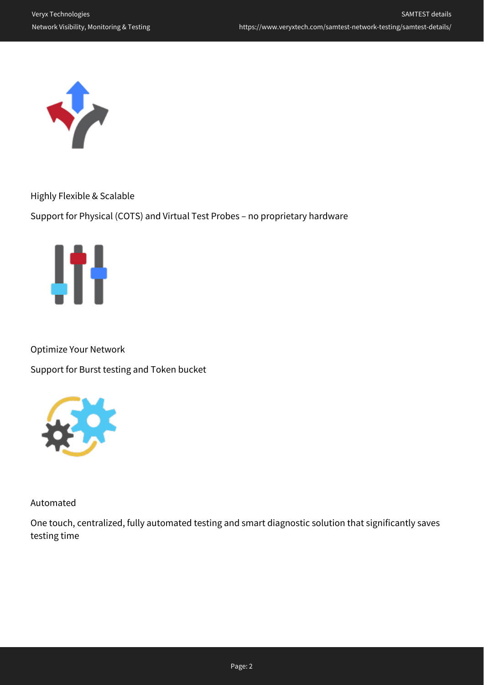

Highly Flexible & Scalable

Support for Physical (COTS) and Virtual Test Probes – no proprietary hardware



Optimize Your Network

Support for Burst testing and Token bucket



Automated

One touch, centralized, fully automated testing and smart diagnostic solution that significantly saves testing time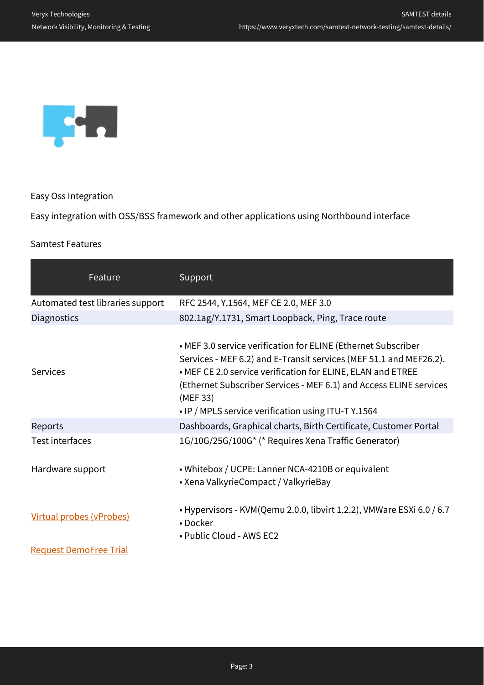

Easy Oss Integration

Easy integration with OSS/BSS framework and other applications using Northbound interface

#### Samtest Features

| Feature                          | Support                                                                                                                                                                                                                                                                                                                                     |  |
|----------------------------------|---------------------------------------------------------------------------------------------------------------------------------------------------------------------------------------------------------------------------------------------------------------------------------------------------------------------------------------------|--|
| Automated test libraries support | RFC 2544, Y.1564, MEF CE 2.0, MEF 3.0                                                                                                                                                                                                                                                                                                       |  |
| Diagnostics                      | 802.1ag/Y.1731, Smart Loopback, Ping, Trace route                                                                                                                                                                                                                                                                                           |  |
| Services                         | • MEF 3.0 service verification for ELINE (Ethernet Subscriber<br>Services - MEF 6.2) and E-Transit services (MEF 51.1 and MEF26.2).<br>• MEF CE 2.0 service verification for ELINE, ELAN and ETREE<br>(Ethernet Subscriber Services - MEF 6.1) and Access ELINE services<br>(MEF 33)<br>• IP / MPLS service verification using ITU-T Y.1564 |  |
| Reports                          | Dashboards, Graphical charts, Birth Certificate, Customer Portal                                                                                                                                                                                                                                                                            |  |
| <b>Test interfaces</b>           | 1G/10G/25G/100G* (* Requires Xena Traffic Generator)                                                                                                                                                                                                                                                                                        |  |
| Hardware support                 | • Whitebox / UCPE: Lanner NCA-4210B or equivalent<br>• Xena ValkyrieCompact / ValkyrieBay                                                                                                                                                                                                                                                   |  |
| Virtual probes (vProbes)         | • Hypervisors - KVM(Qemu 2.0.0, libvirt 1.2.2), VMWare ESXi 6.0 / 6.7<br>• Docker<br>• Public Cloud - AWS EC2                                                                                                                                                                                                                               |  |
| <b>Request DemoFree Trial</b>    |                                                                                                                                                                                                                                                                                                                                             |  |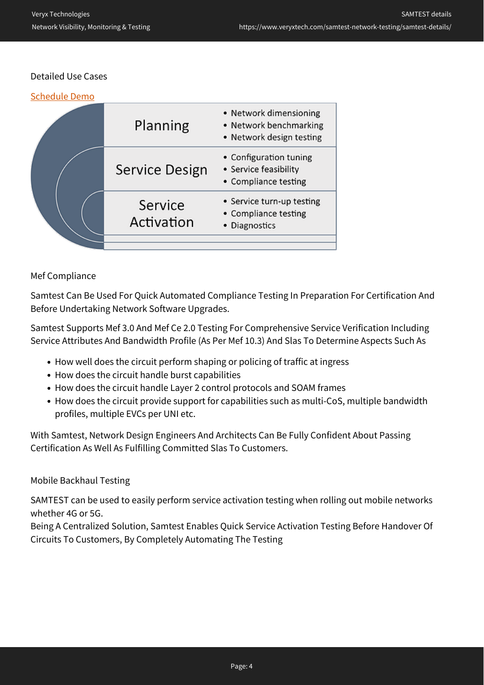#### Detailed Use Cases

| <b>Schedule Demo</b> |                       |                                                                              |
|----------------------|-----------------------|------------------------------------------------------------------------------|
|                      | Planning              | • Network dimensioning<br>• Network benchmarking<br>• Network design testing |
|                      | Service Design        | • Configuration tuning<br>• Service feasibility<br>• Compliance testing      |
|                      | Service<br>Activation | • Service turn-up testing<br>• Compliance testing<br>• Diagnostics           |
|                      |                       |                                                                              |

#### Mef Compliance

Samtest Can Be Used For Quick Automated Compliance Testing In Preparation For Certification And Before Undertaking Network Software Upgrades.

Samtest Supports Mef 3.0 And Mef Ce 2.0 Testing For Comprehensive Service Verification Including Service Attributes And Bandwidth Profile (As Per Mef 10.3) And Slas To Determine Aspects Such As

- How well does the circuit perform shaping or policing of traffic at ingress
- How does the circuit handle burst capabilities
- How does the circuit handle Layer 2 control protocols and SOAM frames
- How does the circuit provide support for capabilities such as multi-CoS, multiple bandwidth profiles, multiple EVCs per UNI etc.

With Samtest, Network Design Engineers And Architects Can Be Fully Confident About Passing Certification As Well As Fulfilling Committed Slas To Customers.

#### Mobile Backhaul Testing

SAMTEST can be used to easily perform service activation testing when rolling out mobile networks whether 4G or 5G.

Being A Centralized Solution, Samtest Enables Quick Service Activation Testing Before Handover Of Circuits To Customers, By Completely Automating The Testing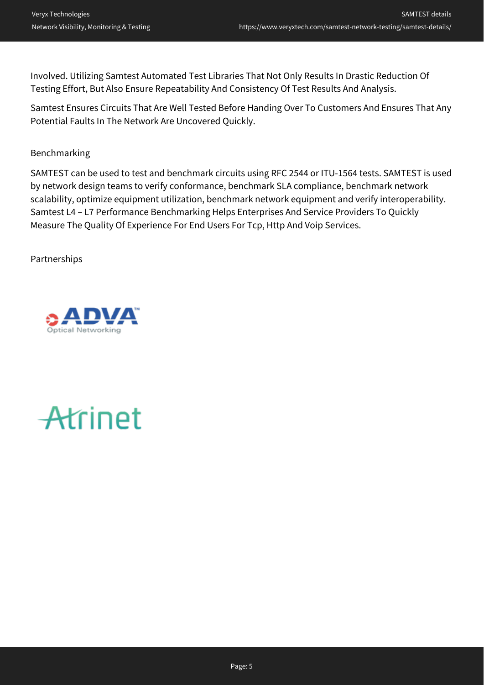Involved. Utilizing Samtest Automated Test Libraries That Not Only Results In Drastic Reduction Of Testing Effort, But Also Ensure Repeatability And Consistency Of Test Results And Analysis.

Samtest Ensures Circuits That Are Well Tested Before Handing Over To Customers And Ensures That Any Potential Faults In The Network Are Uncovered Quickly.

#### Benchmarking

SAMTEST can be used to test and benchmark circuits using RFC 2544 or ITU-1564 tests. SAMTEST is used by network design teams to verify conformance, benchmark SLA compliance, benchmark network scalability, optimize equipment utilization, benchmark network equipment and verify interoperability. Samtest L4 – L7 Performance Benchmarking Helps Enterprises And Service Providers To Quickly Measure The Quality Of Experience For End Users For Tcp, Http And Voip Services.

Partnerships



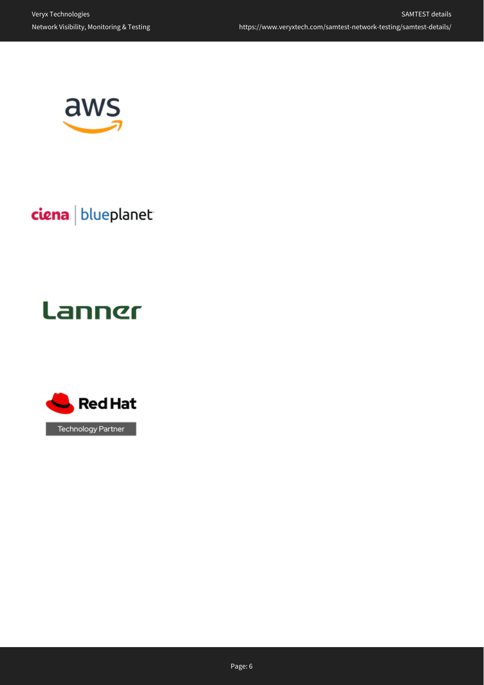

ciena blueplanet

# **Lanner**

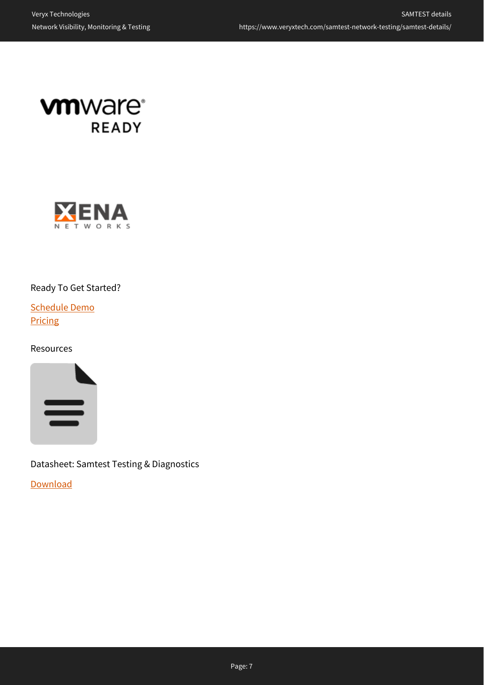



#### Ready To Get Started?

[Schedule Demo](https://www.veryxtech.com/#contact) **Pricing** 

#### Resources



Datasheet: Samtest Testing & Diagnostics

**[Download](https://www.veryxtech.com/#contact)**